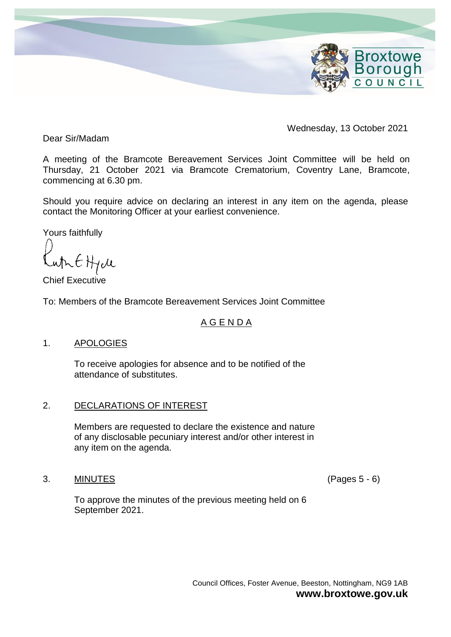

Wednesday, 13 October 2021

Dear Sir/Madam

A meeting of the Bramcote Bereavement Services Joint Committee will be held on Thursday, 21 October 2021 via Bramcote Crematorium, Coventry Lane, Bramcote, commencing at 6.30 pm.

Should you require advice on declaring an interest in any item on the agenda, please contact the Monitoring Officer at your earliest convenience.

Yours faithfully

whit Hall

Chief Executive

To: Members of the Bramcote Bereavement Services Joint Committee

## A G E N D A

## 1. APOLOGIES

To receive apologies for absence and to be notified of the attendance of substitutes.

## 2. DECLARATIONS OF INTEREST

Members are requested to declare the existence and nature of any disclosable pecuniary interest and/or other interest in any item on the agenda.

### 3. MINUTES (Pages 5 - 6)

To approve the minutes of the previous meeting held on 6 September 2021.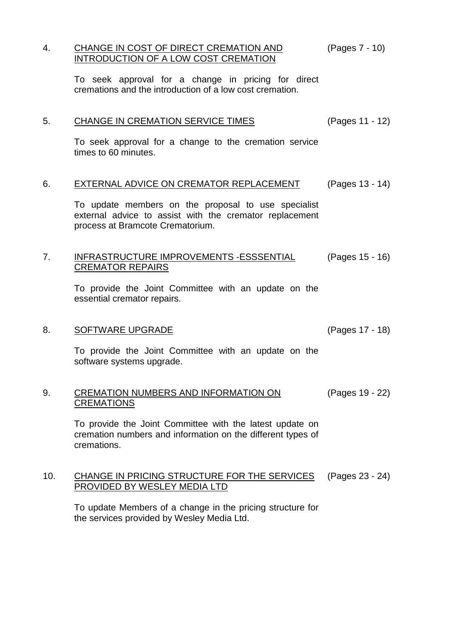### 4. CHANGE IN COST OF DIRECT CREMATION AND INTRODUCTION OF A LOW COST CREMATION (Pages 7 - 10)

To seek approval for a change in pricing for direct cremations and the introduction of a low cost cremation.

| CHANGE IN CREMATION SERVICE TIMES<br>(Pages 11 - 12) |
|------------------------------------------------------|
|                                                      |

To seek approval for a change to the cremation service times to 60 minutes.

## 6. EXTERNAL ADVICE ON CREMATOR REPLACEMENT (Pages 13 - 14)

To update members on the proposal to use specialist external advice to assist with the cremator replacement process at Bramcote Crematorium.

#### 7. INFRASTRUCTURE IMPROVEMENTS -ESSSENTIAL CREMATOR REPAIRS (Pages 15 - 16)

To provide the Joint Committee with an update on the essential cremator repairs.

### 8. SOFTWARE UPGRADE (Pages 17 - 18)

To provide the Joint Committee with an update on the software systems upgrade.

#### 9. CREMATION NUMBERS AND INFORMATION ON **CREMATIONS** (Pages 19 - 22)

To provide the Joint Committee with the latest update on cremation numbers and information on the different types of cremations.

#### 10. CHANGE IN PRICING STRUCTURE FOR THE SERVICES PROVIDED BY WESLEY MEDIA LTD (Pages 23 - 24)

To update Members of a change in the pricing structure for the services provided by Wesley Media Ltd.